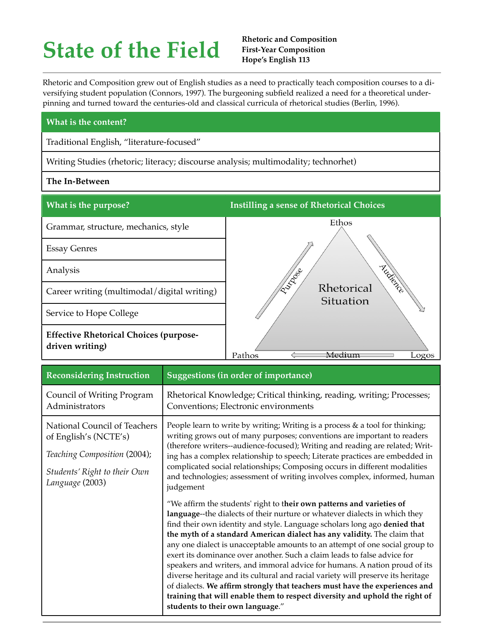## **State of the Field**

Rhetoric and Composition grew out of English studies as a need to practically teach composition courses to a diversifying student population (Connors, 1997). The burgeoning subfield realized a need for a theoretical underpinning and turned toward the centuries-old and classical curricula of rhetorical studies (Berlin, 1996).

## **What is the content?**

Traditional English, "literature-focused"

Writing Studies (rhetoric; literacy; discourse analysis; multimodality; technorhet)

## **The In-Between**



| <b>Reconsidering Instruction</b>                                                                                                         | Suggestions (in order of importance)                                                                                                                                                                                                                                                                                                                                                                                                                                                                                                                                                                                                                                                                                                                                                                                                        |
|------------------------------------------------------------------------------------------------------------------------------------------|---------------------------------------------------------------------------------------------------------------------------------------------------------------------------------------------------------------------------------------------------------------------------------------------------------------------------------------------------------------------------------------------------------------------------------------------------------------------------------------------------------------------------------------------------------------------------------------------------------------------------------------------------------------------------------------------------------------------------------------------------------------------------------------------------------------------------------------------|
| Council of Writing Program<br>Administrators                                                                                             | Rhetorical Knowledge; Critical thinking, reading, writing; Processes;<br>Conventions; Electronic environments                                                                                                                                                                                                                                                                                                                                                                                                                                                                                                                                                                                                                                                                                                                               |
| National Council of Teachers<br>of English's (NCTE's)<br>Teaching Composition (2004);<br>Students' Right to their Own<br>Language (2003) | People learn to write by writing; Writing is a process $\&$ a tool for thinking;<br>writing grows out of many purposes; conventions are important to readers<br>(therefore writers--audience-focused); Writing and reading are related; Writ-<br>ing has a complex relationship to speech; Literate practices are embedded in<br>complicated social relationships; Composing occurs in different modalities<br>and technologies; assessment of writing involves complex, informed, human<br>judgement                                                                                                                                                                                                                                                                                                                                       |
|                                                                                                                                          | "We affirm the students' right to their own patterns and varieties of<br>language--the dialects of their nurture or whatever dialects in which they<br>find their own identity and style. Language scholars long ago denied that<br>the myth of a standard American dialect has any validity. The claim that<br>any one dialect is unacceptable amounts to an attempt of one social group to<br>exert its dominance over another. Such a claim leads to false advice for<br>speakers and writers, and immoral advice for humans. A nation proud of its<br>diverse heritage and its cultural and racial variety will preserve its heritage<br>of dialects. We affirm strongly that teachers must have the experiences and<br>training that will enable them to respect diversity and uphold the right of<br>students to their own language." |